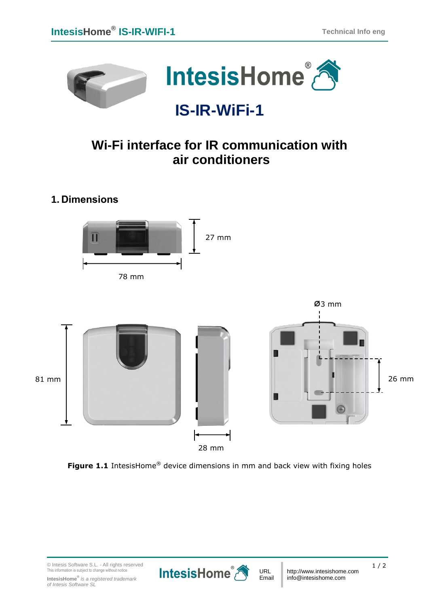

## **IS-IR-WiFi-1**

## **Wi-Fi interface for IR communication with air conditioners**

**1. Dimensions**





**Figure 1.1** IntesisHome<sup>®</sup> device dimensions in mm and back view with fixing holes

© Intesis Software S.L. - All rights reserved This information is subject to change without notice